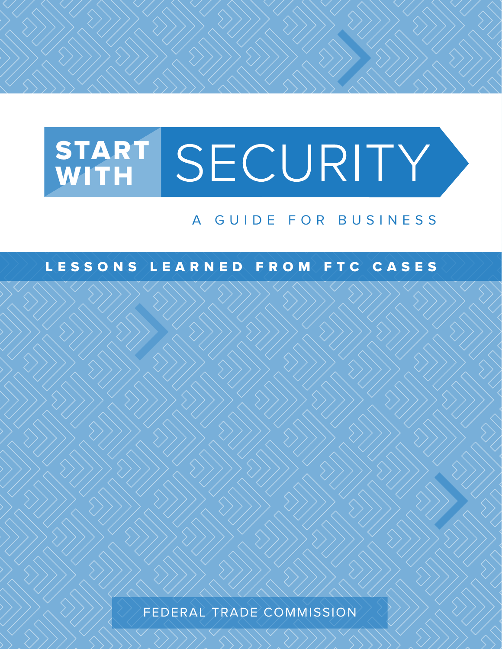# START WITH

## A GUIDE FOR BUSINESS

#### LESSONS LEARNED FROM FTC CASES

FEDERAL TRADE COMMISSION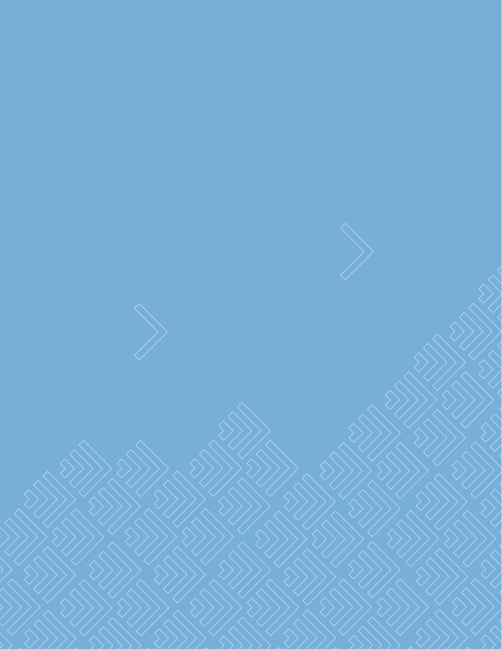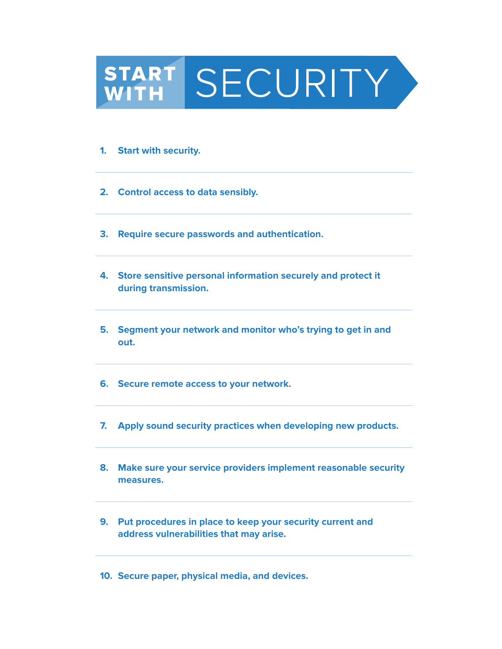## START WITH

#### **1. Start with security.**

- **2. Control access to data sensibly.**
- **3. Require secure passwords and authentication.**
- **4. Store sensitive personal information securely and protect it during transmission.**
- **5. Segment your network and monitor who's trying to get in and out.**
- **6. Secure remote access to your network.**
- **7. Apply sound security practices when developing new products.**
- **8. Make sure your service providers implement reasonable security measures.**
- **9. Put procedures in place to keep your security current and address vulnerabilities that may arise.**
- **10. Secure paper, physical media, and devices.**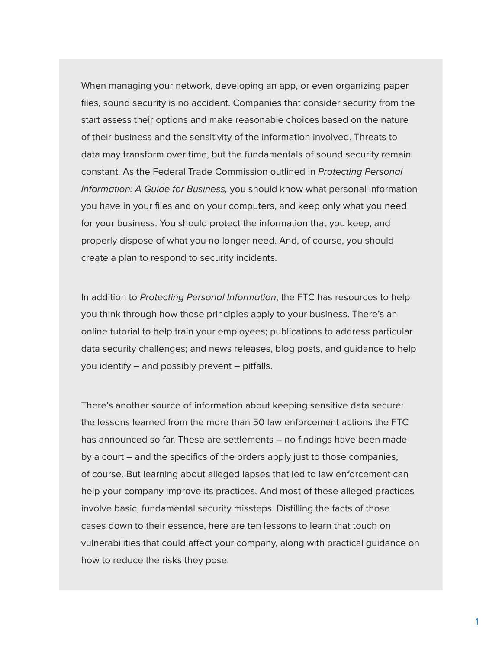When managing your network, developing an app, or even organizing paper files, sound security is no accident. Companies that consider security from the start assess their options and make reasonable choices based on the nature of their business and the sensitivity of the information involved. Threats to data may transform over time, but the fundamentals of sound security remain constant. As the Federal Trade Commission outlined in Protecting Personal Information: A Guide for Business, you should know what personal information you have in your files and on your computers, and keep only what you need for your business. You should protect the information that you keep, and properly dispose of what you no longer need. And, of course, you should create a plan to respond to security incidents.

In addition to Protecting Personal Information, the FTC has resources to help you think through how those principles apply to your business. There's an online tutorial to help train your employees; publications to address particular data security challenges; and news releases, blog posts, and guidance to help you identify – and possibly prevent – pitfalls.

There's another source of information about keeping sensitive data secure: the lessons learned from the more than 50 law enforcement actions the FTC has announced so far. These are settlements – no findings have been made by a court – and the specifics of the orders apply just to those companies, of course. But learning about alleged lapses that led to law enforcement can help your company improve its practices. And most of these alleged practices involve basic, fundamental security missteps. Distilling the facts of those cases down to their essence, here are ten lessons to learn that touch on vulnerabilities that could affect your company, along with practical guidance on how to reduce the risks they pose.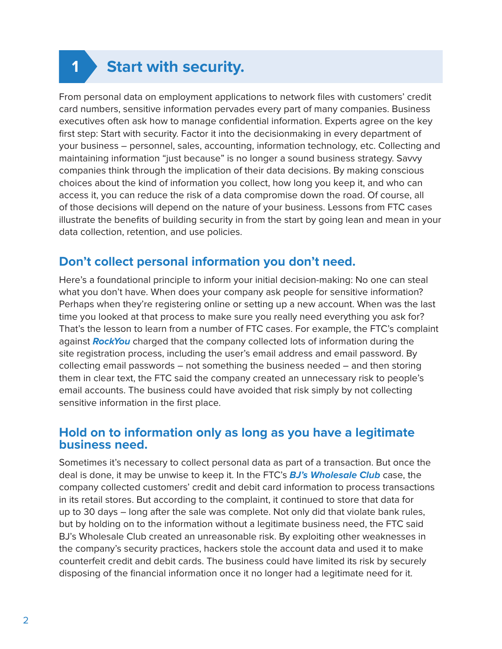## **Start with security.**

**1**

From personal data on employment applications to network files with customers' credit card numbers, sensitive information pervades every part of many companies. Business executives often ask how to manage confidential information. Experts agree on the key first step: Start with security. Factor it into the decisionmaking in every department of your business – personnel, sales, accounting, information technology, etc. Collecting and maintaining information "just because" is no longer a sound business strategy. Savvy companies think through the implication of their data decisions. By making conscious choices about the kind of information you collect, how long you keep it, and who can access it, you can reduce the risk of a data compromise down the road. Of course, all of those decisions will depend on the nature of your business. Lessons from FTC cases illustrate the benefits of building security in from the start by going lean and mean in your data collection, retention, and use policies.

#### **Don't collect personal information you don't need.**

Here's a foundational principle to inform your initial decision-making: No one can steal what you don't have. When does your company ask people for sensitive information? Perhaps when they're registering online or setting up a new account. When was the last time you looked at that process to make sure you really need everything you ask for? That's the lesson to learn from a number of FTC cases. For example, the FTC's complaint against **RockYou** charged that the company collected lots of information during the site registration process, including the user's email address and email password. By collecting email passwords – not something the business needed – and then storing them in clear text, the FTC said the company created an unnecessary risk to people's email accounts. The business could have avoided that risk simply by not collecting sensitive information in the first place.

#### **Hold on to information only as long as you have a legitimate business need.**

Sometimes it's necessary to collect personal data as part of a transaction. But once the deal is done, it may be unwise to keep it. In the FTC's **BJ's Wholesale Club** case, the company collected customers' credit and debit card information to process transactions in its retail stores. But according to the complaint, it continued to store that data for up to 30 days – long after the sale was complete. Not only did that violate bank rules, but by holding on to the information without a legitimate business need, the FTC said BJ's Wholesale Club created an unreasonable risk. By exploiting other weaknesses in the company's security practices, hackers stole the account data and used it to make counterfeit credit and debit cards. The business could have limited its risk by securely disposing of the financial information once it no longer had a legitimate need for it.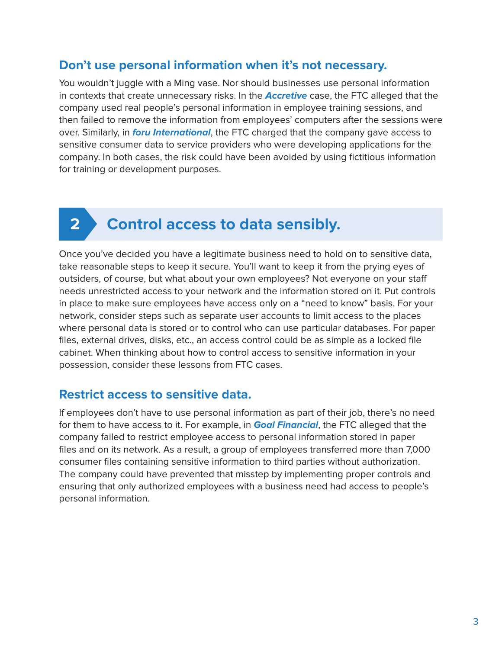#### **Don't use personal information when it's not necessary.**

You wouldn't juggle with a Ming vase. Nor should businesses use personal information in contexts that create unnecessary risks. In the **Accretive** case, the FTC alleged that the company used real people's personal information in employee training sessions, and then failed to remove the information from employees' computers after the sessions were over. Similarly, in **foru International**, the FTC charged that the company gave access to sensitive consumer data to service providers who were developing applications for the company. In both cases, the risk could have been avoided by using fictitious information for training or development purposes.

**2**

## **Control access to data sensibly.**

Once you've decided you have a legitimate business need to hold on to sensitive data, take reasonable steps to keep it secure. You'll want to keep it from the prying eyes of outsiders, of course, but what about your own employees? Not everyone on your staff needs unrestricted access to your network and the information stored on it. Put controls in place to make sure employees have access only on a "need to know" basis. For your network, consider steps such as separate user accounts to limit access to the places where personal data is stored or to control who can use particular databases. For paper files, external drives, disks, etc., an access control could be as simple as a locked file cabinet. When thinking about how to control access to sensitive information in your possession, consider these lessons from FTC cases.

#### **Restrict access to sensitive data.**

If employees don't have to use personal information as part of their job, there's no need for them to have access to it. For example, in **Goal Financial**, the FTC alleged that the company failed to restrict employee access to personal information stored in paper files and on its network. As a result, a group of employees transferred more than 7,000 consumer files containing sensitive information to third parties without authorization. The company could have prevented that misstep by implementing proper controls and ensuring that only authorized employees with a business need had access to people's personal information.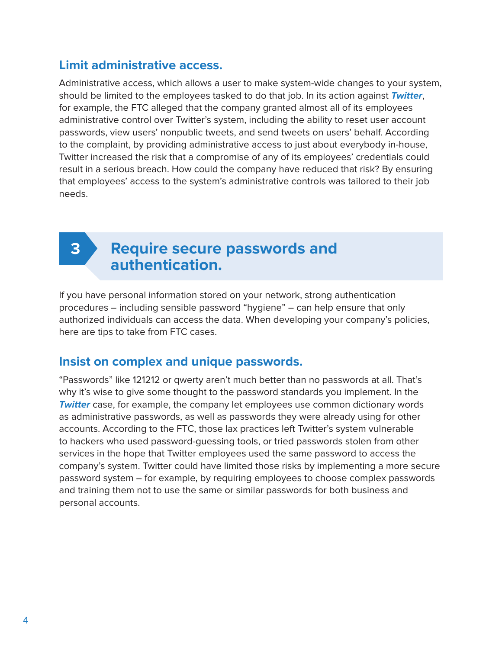#### **Limit administrative access.**

Administrative access, which allows a user to make system-wide changes to your system, should be limited to the employees tasked to do that job. In its action against **Twitter**, for example, the FTC alleged that the company granted almost all of its employees administrative control over Twitter's system, including the ability to reset user account passwords, view users' nonpublic tweets, and send tweets on users' behalf. According to the complaint, by providing administrative access to just about everybody in-house, Twitter increased the risk that a compromise of any of its employees' credentials could result in a serious breach. How could the company have reduced that risk? By ensuring that employees' access to the system's administrative controls was tailored to their job needs.

**3**

## **Require secure passwords and authentication.**

If you have personal information stored on your network, strong authentication procedures – including sensible password "hygiene" – can help ensure that only authorized individuals can access the data. When developing your company's policies, here are tips to take from FTC cases.

#### **Insist on complex and unique passwords.**

"Passwords" like 121212 or qwerty aren't much better than no passwords at all. That's why it's wise to give some thought to the password standards you implement. In the **Twitter** case, for example, the company let employees use common dictionary words as administrative passwords, as well as passwords they were already using for other accounts. According to the FTC, those lax practices left Twitter's system vulnerable to hackers who used password-guessing tools, or tried passwords stolen from other services in the hope that Twitter employees used the same password to access the company's system. Twitter could have limited those risks by implementing a more secure password system – for example, by requiring employees to choose complex passwords and training them not to use the same or similar passwords for both business and personal accounts.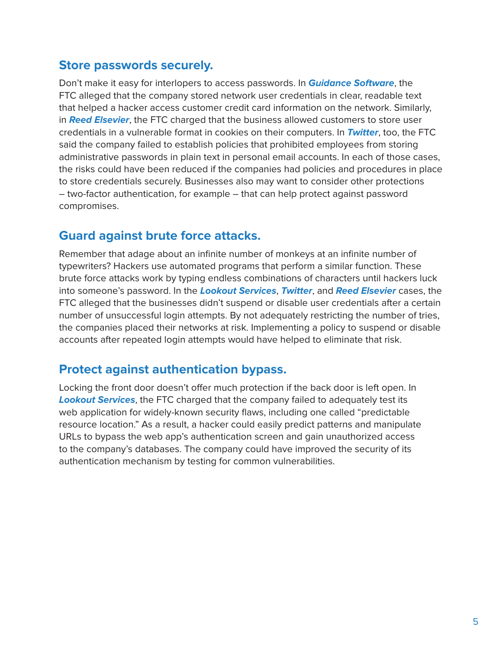#### **Store passwords securely.**

Don't make it easy for interlopers to access passwords. In **Guidance Software**, the FTC alleged that the company stored network user credentials in clear, readable text that helped a hacker access customer credit card information on the network. Similarly, in **Reed Elsevier**, the FTC charged that the business allowed customers to store user credentials in a vulnerable format in cookies on their computers. In **Twitter**, too, the FTC said the company failed to establish policies that prohibited employees from storing administrative passwords in plain text in personal email accounts. In each of those cases, the risks could have been reduced if the companies had policies and procedures in place to store credentials securely. Businesses also may want to consider other protections – two-factor authentication, for example – that can help protect against password compromises.

#### **Guard against brute force attacks.**

Remember that adage about an infinite number of monkeys at an infinite number of typewriters? Hackers use automated programs that perform a similar function. These brute force attacks work by typing endless combinations of characters until hackers luck into someone's password. In the **Lookout Services**, **Twitter**, and **Reed Elsevier** cases, the FTC alleged that the businesses didn't suspend or disable user credentials after a certain number of unsuccessful login attempts. By not adequately restricting the number of tries, the companies placed their networks at risk. Implementing a policy to suspend or disable accounts after repeated login attempts would have helped to eliminate that risk.

#### **Protect against authentication bypass.**

Locking the front door doesn't offer much protection if the back door is left open. In **Lookout Services**, the FTC charged that the company failed to adequately test its web application for widely-known security flaws, including one called "predictable resource location." As a result, a hacker could easily predict patterns and manipulate URLs to bypass the web app's authentication screen and gain unauthorized access to the company's databases. The company could have improved the security of its authentication mechanism by testing for common vulnerabilities.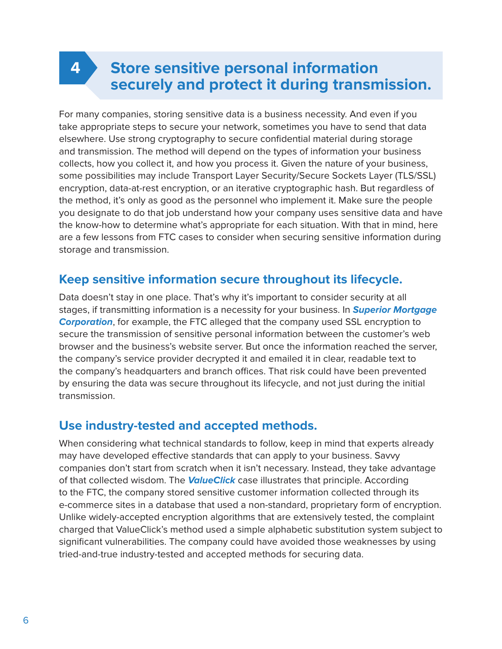### **4**

## **Store sensitive personal information securely and protect it during transmission.**

For many companies, storing sensitive data is a business necessity. And even if you take appropriate steps to secure your network, sometimes you have to send that data elsewhere. Use strong cryptography to secure confidential material during storage and transmission. The method will depend on the types of information your business collects, how you collect it, and how you process it. Given the nature of your business, some possibilities may include Transport Layer Security/Secure Sockets Layer (TLS/SSL) encryption, data-at-rest encryption, or an iterative cryptographic hash. But regardless of the method, it's only as good as the personnel who implement it. Make sure the people you designate to do that job understand how your company uses sensitive data and have the know-how to determine what's appropriate for each situation. With that in mind, here are a few lessons from FTC cases to consider when securing sensitive information during storage and transmission.

#### **Keep sensitive information secure throughout its lifecycle.**

Data doesn't stay in one place. That's why it's important to consider security at all stages, if transmitting information is a necessity for your business. In **Superior Mortgage Corporation**, for example, the FTC alleged that the company used SSL encryption to secure the transmission of sensitive personal information between the customer's web browser and the business's website server. But once the information reached the server, the company's service provider decrypted it and emailed it in clear, readable text to the company's headquarters and branch offices. That risk could have been prevented by ensuring the data was secure throughout its lifecycle, and not just during the initial transmission.

#### **Use industry-tested and accepted methods.**

When considering what technical standards to follow, keep in mind that experts already may have developed effective standards that can apply to your business. Savvy companies don't start from scratch when it isn't necessary. Instead, they take advantage of that collected wisdom. The **ValueClick** case illustrates that principle. According to the FTC, the company stored sensitive customer information collected through its e-commerce sites in a database that used a non-standard, proprietary form of encryption. Unlike widely-accepted encryption algorithms that are extensively tested, the complaint charged that ValueClick's method used a simple alphabetic substitution system subject to significant vulnerabilities. The company could have avoided those weaknesses by using tried-and-true industry-tested and accepted methods for securing data.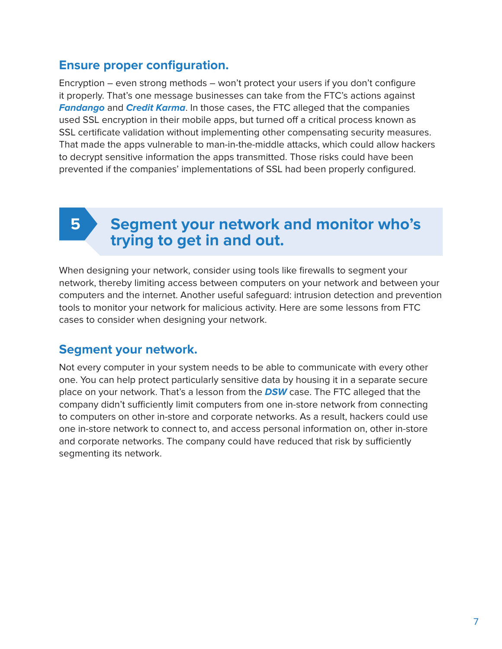#### **Ensure proper configuration.**

Encryption – even strong methods – won't protect your users if you don't configure it properly. That's one message businesses can take from the FTC's actions against **Fandango** and **Credit Karma**. In those cases, the FTC alleged that the companies used SSL encryption in their mobile apps, but turned off a critical process known as SSL certificate validation without implementing other compensating security measures. That made the apps vulnerable to man-in-the-middle attacks, which could allow hackers to decrypt sensitive information the apps transmitted. Those risks could have been prevented if the companies' implementations of SSL had been properly configured.

**5**

## **Segment your network and monitor who's trying to get in and out.**

When designing your network, consider using tools like firewalls to segment your network, thereby limiting access between computers on your network and between your computers and the internet. Another useful safeguard: intrusion detection and prevention tools to monitor your network for malicious activity. Here are some lessons from FTC cases to consider when designing your network.

#### **Segment your network.**

Not every computer in your system needs to be able to communicate with every other one. You can help protect particularly sensitive data by housing it in a separate secure place on your network. That's a lesson from the **DSW** case. The FTC alleged that the company didn't sufficiently limit computers from one in-store network from connecting to computers on other in-store and corporate networks. As a result, hackers could use one in-store network to connect to, and access personal information on, other in-store and corporate networks. The company could have reduced that risk by sufficiently segmenting its network.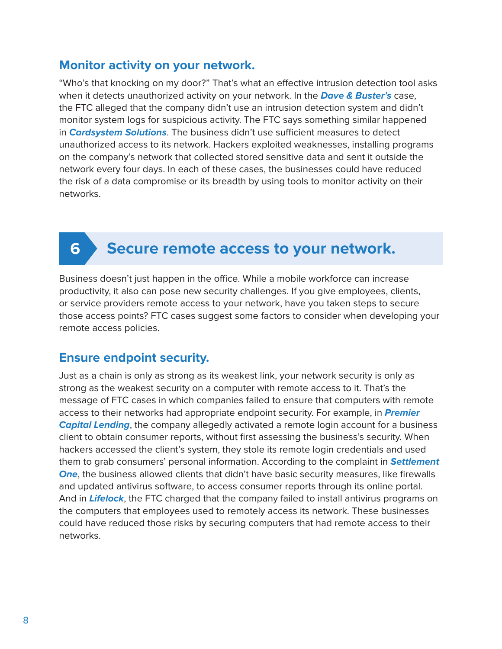#### **Monitor activity on your network.**

"Who's that knocking on my door?" That's what an effective intrusion detection tool asks when it detects unauthorized activity on your network. In the **Dave & Buster's** case, the FTC alleged that the company didn't use an intrusion detection system and didn't monitor system logs for suspicious activity. The FTC says something similar happened in **Cardsystem Solutions**. The business didn't use sufficient measures to detect unauthorized access to its network. Hackers exploited weaknesses, installing programs on the company's network that collected stored sensitive data and sent it outside the network every four days. In each of these cases, the businesses could have reduced the risk of a data compromise or its breadth by using tools to monitor activity on their networks.

**6**

## **Secure remote access to your network.**

Business doesn't just happen in the office. While a mobile workforce can increase productivity, it also can pose new security challenges. If you give employees, clients, or service providers remote access to your network, have you taken steps to secure those access points? FTC cases suggest some factors to consider when developing your remote access policies.

#### **Ensure endpoint security.**

Just as a chain is only as strong as its weakest link, your network security is only as strong as the weakest security on a computer with remote access to it. That's the message of FTC cases in which companies failed to ensure that computers with remote access to their networks had appropriate endpoint security. For example, in **Premier Capital Lending**, the company allegedly activated a remote login account for a business client to obtain consumer reports, without first assessing the business's security. When hackers accessed the client's system, they stole its remote login credentials and used them to grab consumers' personal information. According to the complaint in **Settlement One**, the business allowed clients that didn't have basic security measures, like firewalls and updated antivirus software, to access consumer reports through its online portal. And in **Lifelock**, the FTC charged that the company failed to install antivirus programs on the computers that employees used to remotely access its network. These businesses could have reduced those risks by securing computers that had remote access to their networks.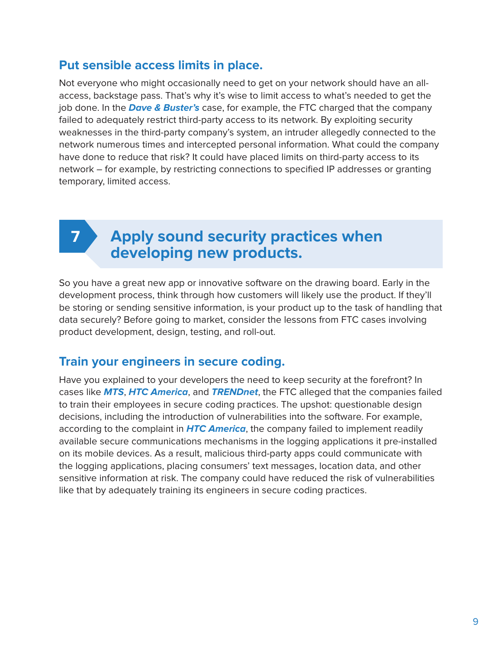#### **Put sensible access limits in place.**

Not everyone who might occasionally need to get on your network should have an allaccess, backstage pass. That's why it's wise to limit access to what's needed to get the job done. In the **Dave & Buster's** case, for example, the FTC charged that the company failed to adequately restrict third-party access to its network. By exploiting security weaknesses in the third-party company's system, an intruder allegedly connected to the network numerous times and intercepted personal information. What could the company have done to reduce that risk? It could have placed limits on third-party access to its network – for example, by restricting connections to specified IP addresses or granting temporary, limited access.

**7**

## **Apply sound security practices when developing new products.**

So you have a great new app or innovative software on the drawing board. Early in the development process, think through how customers will likely use the product. If they'll be storing or sending sensitive information, is your product up to the task of handling that data securely? Before going to market, consider the lessons from FTC cases involving product development, design, testing, and roll-out.

#### **Train your engineers in secure coding.**

Have you explained to your developers the need to keep security at the forefront? In cases like **MTS**, **HTC America**, and **TRENDnet**, the FTC alleged that the companies failed to train their employees in secure coding practices. The upshot: questionable design decisions, including the introduction of vulnerabilities into the software. For example, according to the complaint in **HTC America**, the company failed to implement readily available secure communications mechanisms in the logging applications it pre-installed on its mobile devices. As a result, malicious third-party apps could communicate with the logging applications, placing consumers' text messages, location data, and other sensitive information at risk. The company could have reduced the risk of vulnerabilities like that by adequately training its engineers in secure coding practices.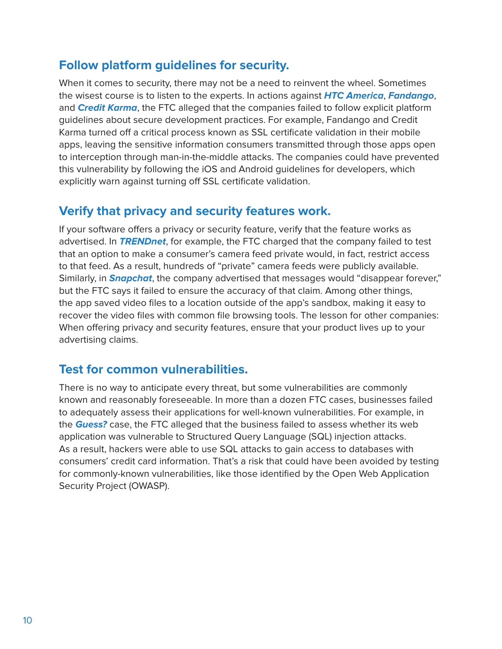#### **Follow platform guidelines for security.**

When it comes to security, there may not be a need to reinvent the wheel. Sometimes the wisest course is to listen to the experts. In actions against **HTC America**, **Fandango**, and **Credit Karma**, the FTC alleged that the companies failed to follow explicit platform guidelines about secure development practices. For example, Fandango and Credit Karma turned off a critical process known as SSL certificate validation in their mobile apps, leaving the sensitive information consumers transmitted through those apps open to interception through man-in-the-middle attacks. The companies could have prevented this vulnerability by following the iOS and Android guidelines for developers, which explicitly warn against turning off SSL certificate validation.

#### **Verify that privacy and security features work.**

If your software offers a privacy or security feature, verify that the feature works as advertised. In **TRENDnet**, for example, the FTC charged that the company failed to test that an option to make a consumer's camera feed private would, in fact, restrict access to that feed. As a result, hundreds of "private" camera feeds were publicly available. Similarly, in **Snapchat**, the company advertised that messages would "disappear forever," but the FTC says it failed to ensure the accuracy of that claim. Among other things, the app saved video files to a location outside of the app's sandbox, making it easy to recover the video files with common file browsing tools. The lesson for other companies: When offering privacy and security features, ensure that your product lives up to your advertising claims.

#### **Test for common vulnerabilities.**

There is no way to anticipate every threat, but some vulnerabilities are commonly known and reasonably foreseeable. In more than a dozen FTC cases, businesses failed to adequately assess their applications for well-known vulnerabilities. For example, in the **Guess?** case, the FTC alleged that the business failed to assess whether its web application was vulnerable to Structured Query Language (SQL) injection attacks. As a result, hackers were able to use SQL attacks to gain access to databases with consumers' credit card information. That's a risk that could have been avoided by testing for commonly-known vulnerabilities, like those identified by the Open Web Application Security Project (OWASP).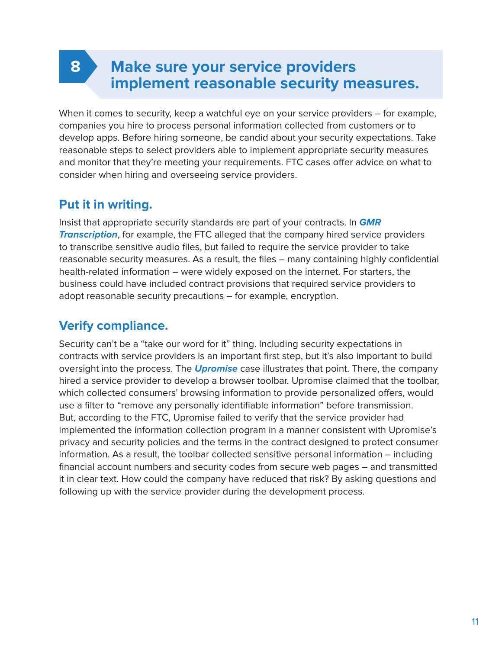## **8**

## **Make sure your service providers implement reasonable security measures.**

When it comes to security, keep a watchful eye on your service providers – for example, companies you hire to process personal information collected from customers or to develop apps. Before hiring someone, be candid about your security expectations. Take reasonable steps to select providers able to implement appropriate security measures and monitor that they're meeting your requirements. FTC cases offer advice on what to consider when hiring and overseeing service providers.

#### **Put it in writing.**

Insist that appropriate security standards are part of your contracts. In **GMR Transcription**, for example, the FTC alleged that the company hired service providers to transcribe sensitive audio files, but failed to require the service provider to take reasonable security measures. As a result, the files – many containing highly confidential health-related information – were widely exposed on the internet. For starters, the business could have included contract provisions that required service providers to adopt reasonable security precautions – for example, encryption.

#### **Verify compliance.**

Security can't be a "take our word for it" thing. Including security expectations in contracts with service providers is an important first step, but it's also important to build oversight into the process. The **Upromise** case illustrates that point. There, the company hired a service provider to develop a browser toolbar. Upromise claimed that the toolbar, which collected consumers' browsing information to provide personalized offers, would use a filter to "remove any personally identifiable information" before transmission. But, according to the FTC, Upromise failed to verify that the service provider had implemented the information collection program in a manner consistent with Upromise's privacy and security policies and the terms in the contract designed to protect consumer information. As a result, the toolbar collected sensitive personal information – including financial account numbers and security codes from secure web pages – and transmitted it in clear text. How could the company have reduced that risk? By asking questions and following up with the service provider during the development process.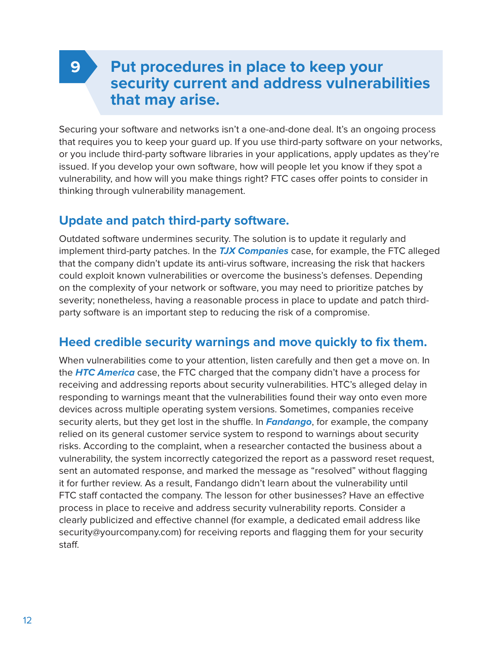## **9**

## **Put procedures in place to keep your security current and address vulnerabilities that may arise.**

Securing your software and networks isn't a one-and-done deal. It's an ongoing process that requires you to keep your guard up. If you use third-party software on your networks, or you include third-party software libraries in your applications, apply updates as they're issued. If you develop your own software, how will people let you know if they spot a vulnerability, and how will you make things right? FTC cases offer points to consider in thinking through vulnerability management.

#### **Update and patch third-party software.**

Outdated software undermines security. The solution is to update it regularly and implement third-party patches. In the **TJX Companies** case, for example, the FTC alleged that the company didn't update its anti-virus software, increasing the risk that hackers could exploit known vulnerabilities or overcome the business's defenses. Depending on the complexity of your network or software, you may need to prioritize patches by severity; nonetheless, having a reasonable process in place to update and patch thirdparty software is an important step to reducing the risk of a compromise.

#### **Heed credible security warnings and move quickly to fix them.**

When vulnerabilities come to your attention, listen carefully and then get a move on. In the **HTC America** case, the FTC charged that the company didn't have a process for receiving and addressing reports about security vulnerabilities. HTC's alleged delay in responding to warnings meant that the vulnerabilities found their way onto even more devices across multiple operating system versions. Sometimes, companies receive security alerts, but they get lost in the shuffle. In **Fandango**, for example, the company relied on its general customer service system to respond to warnings about security risks. According to the complaint, when a researcher contacted the business about a vulnerability, the system incorrectly categorized the report as a password reset request, sent an automated response, and marked the message as "resolved" without flagging it for further review. As a result, Fandango didn't learn about the vulnerability until FTC staff contacted the company. The lesson for other businesses? Have an effective process in place to receive and address security vulnerability reports. Consider a clearly publicized and effective channel (for example, a dedicated email address like security@yourcompany.com) for receiving reports and flagging them for your security staff.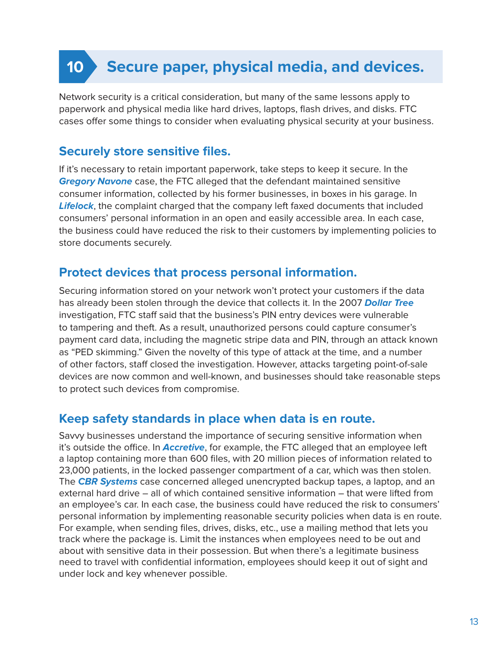#### **Secure paper, physical media, and devices. 10**

Network security is a critical consideration, but many of the same lessons apply to paperwork and physical media like hard drives, laptops, flash drives, and disks. FTC cases offer some things to consider when evaluating physical security at your business.

#### **Securely store sensitive files.**

If it's necessary to retain important paperwork, take steps to keep it secure. In the **Gregory Navone** case, the FTC alleged that the defendant maintained sensitive consumer information, collected by his former businesses, in boxes in his garage. In **Lifelock**, the complaint charged that the company left faxed documents that included consumers' personal information in an open and easily accessible area. In each case, the business could have reduced the risk to their customers by implementing policies to store documents securely.

#### **Protect devices that process personal information.**

Securing information stored on your network won't protect your customers if the data has already been stolen through the device that collects it. In the 2007 **Dollar Tree** investigation, FTC staff said that the business's PIN entry devices were vulnerable to tampering and theft. As a result, unauthorized persons could capture consumer's payment card data, including the magnetic stripe data and PIN, through an attack known as "PED skimming." Given the novelty of this type of attack at the time, and a number of other factors, staff closed the investigation. However, attacks targeting point-of-sale devices are now common and well-known, and businesses should take reasonable steps to protect such devices from compromise.

#### **Keep safety standards in place when data is en route.**

Savvy businesses understand the importance of securing sensitive information when it's outside the office. In **Accretive**, for example, the FTC alleged that an employee left a laptop containing more than 600 files, with 20 million pieces of information related to 23,000 patients, in the locked passenger compartment of a car, which was then stolen. The **CBR Systems** case concerned alleged unencrypted backup tapes, a laptop, and an external hard drive – all of which contained sensitive information – that were lifted from an employee's car. In each case, the business could have reduced the risk to consumers' personal information by implementing reasonable security policies when data is en route. For example, when sending files, drives, disks, etc., use a mailing method that lets you track where the package is. Limit the instances when employees need to be out and about with sensitive data in their possession. But when there's a legitimate business need to travel with confidential information, employees should keep it out of sight and under lock and key whenever possible.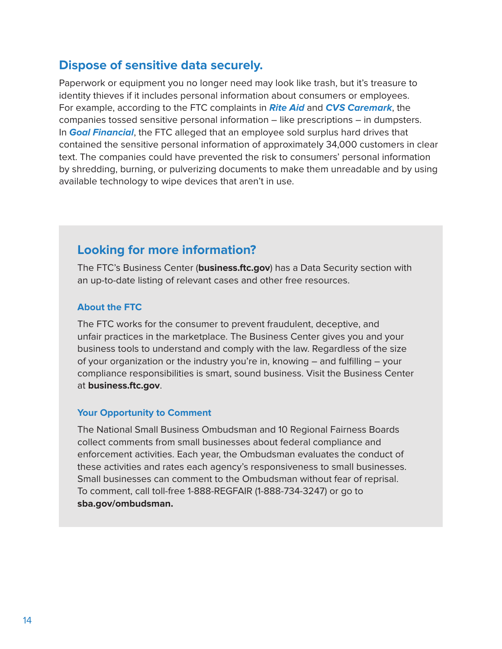#### **Dispose of sensitive data securely.**

Paperwork or equipment you no longer need may look like trash, but it's treasure to identity thieves if it includes personal information about consumers or employees. For example, according to the FTC complaints in **Rite Aid** and **CVS Caremark**, the companies tossed sensitive personal information – like prescriptions – in dumpsters. In **Goal Financial**, the FTC alleged that an employee sold surplus hard drives that contained the sensitive personal information of approximately 34,000 customers in clear text. The companies could have prevented the risk to consumers' personal information by shredding, burning, or pulverizing documents to make them unreadable and by using available technology to wipe devices that aren't in use.

#### **Looking for more information?**

The FTC's Business Center (**business.ftc.gov**) has a Data Security section with an up-to-date listing of relevant cases and other free resources.

#### **About the FTC**

The FTC works for the consumer to prevent fraudulent, deceptive, and unfair practices in the marketplace. The Business Center gives you and your business tools to understand and comply with the law. Regardless of the size of your organization or the industry you're in, knowing – and fulfilling – your compliance responsibilities is smart, sound business. Visit the Business Center at **business.ftc.gov**.

#### **Your Opportunity to Comment**

The National Small Business Ombudsman and 10 Regional Fairness Boards collect comments from small businesses about federal compliance and enforcement activities. Each year, the Ombudsman evaluates the conduct of these activities and rates each agency's responsiveness to small businesses. Small businesses can comment to the Ombudsman without fear of reprisal. To comment, call toll-free 1-888-REGFAIR (1-888-734-3247) or go to **sba.gov/ombudsman.**